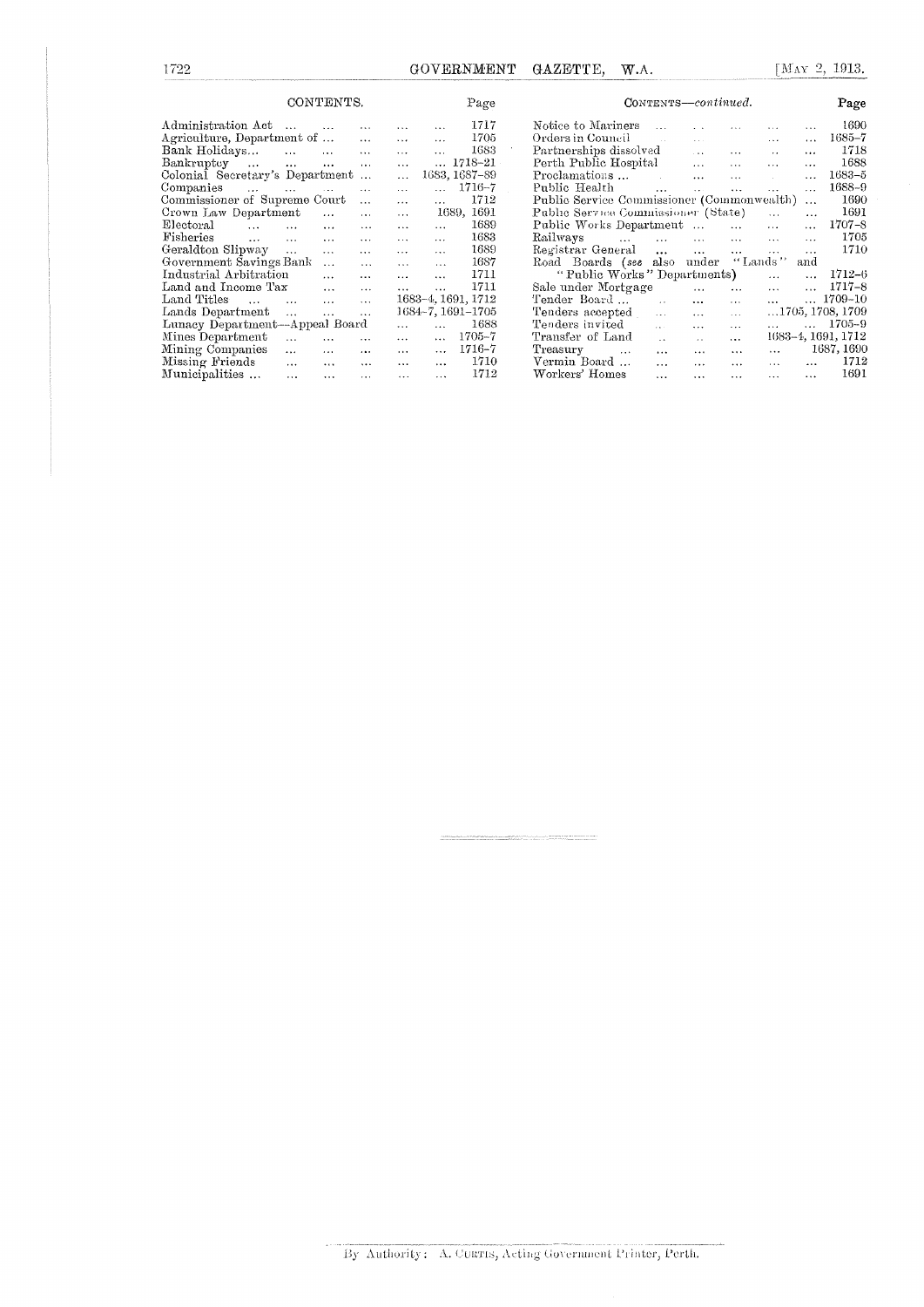GOVERNMENT GAZETTE, W.A.

|                                 | CONTENTS.               |                      |          |           | Page           |                    |  | CONTENTS-continued.                        |                      |              |                |                      |                      | Page               |
|---------------------------------|-------------------------|----------------------|----------|-----------|----------------|--------------------|--|--------------------------------------------|----------------------|--------------|----------------|----------------------|----------------------|--------------------|
| Administration Act              | $\cdots$                |                      | $\cdots$ | $\cdots$  |                | 1717               |  | Notice to Mariners                         |                      |              |                |                      | $\cdots$             | 1690               |
| Agriculture, Department of      |                         |                      | $\cdots$ | $\cdots$  | $\overline{a}$ | 1705               |  | Orders in Council                          |                      | a con-       |                | $\sim$ $\sim$ $\sim$ | $\cdots$             | $1685 - 7$         |
| Bank Holidays                   | $\cdots$                |                      | $\cdots$ |           |                | 1683               |  | Partnerships dissolved                     |                      |              | $\cdots$       | $\cdot$ .            | $\ddotsc$            | 1718               |
| Bankruptcy<br>$\cdots$          | $\cdots$                | $\cdots$             | $\cdots$ |           |                | 1718-21            |  | Perth Public Hospital                      |                      | $\cdots$     | $\overline{1}$ | $\cdots$             |                      | 1688               |
| Colonial Secretary's Department |                         |                      |          | $\cdots$  |                | 1683, 1687-89      |  | Proclamations                              |                      | $\mathbf{r}$ | $\cdots$       |                      | .                    | $1683 - 5$         |
| Companies<br>$\cdots$           | <b>Search Committee</b> |                      | $\cdots$ | $\ddotsc$ |                | $1716 - 7$         |  | Public Health                              | $\cdots$             | $\mathbf{A}$ | $\cdots$       | $\mathbf{A}$         | $\cdots$             | 1688-9             |
| Commissioner of Supreme Court   |                         |                      | $\cdots$ | .         | $\cdots$       | 1712               |  | Public Service Commissioner (Commonwealth) |                      |              |                |                      | $\cdots$             | 1690               |
| Crown Law Department            |                         | $\ddot{\phantom{a}}$ | $\cdots$ | $\cdots$  |                | 1689, 1691         |  | Public Service Commissioner (State)        |                      |              |                | $\dddotsc$           | $\cdots$             | 1691               |
| Electoral<br>$\sim$             | $\cdots$                | $\cdots$             | $\cdots$ |           |                | 1689               |  | Public Works Department                    |                      |              | $\cdots$       | $\cdots$             | $\cdots$             | $1707 - 8$         |
| Fisheries<br>$\sim$             | $\cdots$                | $\cdots$             | $\cdots$ | $\cdots$  | $\cdots$       | 1683               |  | Railways<br><b>Sales Controller</b>        | $\mathbf{A}$         | $\cdots$     | $\cdots$       | $\cdots$             | $\ddotsc$            | 1705               |
| Geraldton Slipway               | $\sim 100$              | $\cdots$             | $\cdots$ | $\cdots$  | $\cdots$       | 1689               |  | Registrar General                          | $\cdots$             | $\cdots$     | $\cdots$       | $\cdots$             | $\ddot{\phantom{a}}$ | 1710               |
| Government Savings Bank         |                         | $\cdots$             | $\cdots$ | $\cdots$  | $\cdots$       | 1687               |  | Road Boards (see                           | also                 | under        |                | ''Lands''            | and                  |                    |
| Industrial Arbitration          |                         | $\cdots$             | $\cdots$ | $\cdots$  | $\ddotsc$      | 1711               |  | "Public Works" Departments)                |                      |              |                | $\cdots$             |                      | $1712 - 6$         |
| Land and Income Tax             |                         | $\cdots$             | $\cdots$ | $\cdots$  | $\ddotsc$      | 1711               |  | Sale under Mortgage                        |                      | $\cdots$     | $\cdots$       | $\cdots$             |                      | $1717 - 8$         |
| Land Titles<br>$\ldots$         | $\cdots$                | $\cdots$             | $\cdots$ |           |                | 1683-4, 1691, 1712 |  | Tender Board                               | $\sim 1$             | $\cdots$     | $\cdots$       | $\cdots$             |                      | 1709-10            |
| Lands Department                | $\cdots$                | $\cdots$             | $\cdots$ |           |                | 1684-7, 1691-1705  |  | Tenders accepted                           | $\ldots$             | $\cdots$     | $\sim$ $\sim$  |                      |                      | 1705, 1708, 1709   |
| Lunacy Department-Appeal Board  |                         |                      |          | $\cdots$  |                | 1688               |  | Tenders invited                            | $\sim$               | $\cdots$     | $\cdots$       |                      |                      | $1705 - 9$         |
| Mines Department                | $\cdots$                | $\cdots$             | $\cdots$ | $\cdots$  | $\cdots$       | $1705 - 7$         |  | Transfer of Land                           | $\ddot{\phantom{a}}$ |              | $\cdots$       |                      |                      | 1683-4, 1691, 1712 |
| Mining Companies                | $\cdots$                | $\cdots$             | $\cdots$ | $\cdots$  |                | $1716 - 7$         |  | Treasury<br>$\ldots$                       | $\cdots$             | $\cdots$     | $\cdots$       | $\cdots$             |                      | 1687, 1690         |
| Missing Friends                 | $\cdots$                | $\cdots$             | $\cdots$ | $\cdots$  | $\cdots$       | 1710               |  | Vermin Board                               | $\cdots$             | $\cdots$     | $\cdots$       | $\cdots$             | $\cdots$             | 1712               |
| Municipalities                  | $\ddotsc$               | $\cdots$             | $\cdots$ | $\cdots$  | $\cdots$       | 1712               |  | Workers' Homes                             | $\cdots$             | $\cdots$     | $\cdots$       | $\cdots$             | $\cdots$             | 1691               |

By Authority: A. CURTIS, Acting Government Printer, Perth.